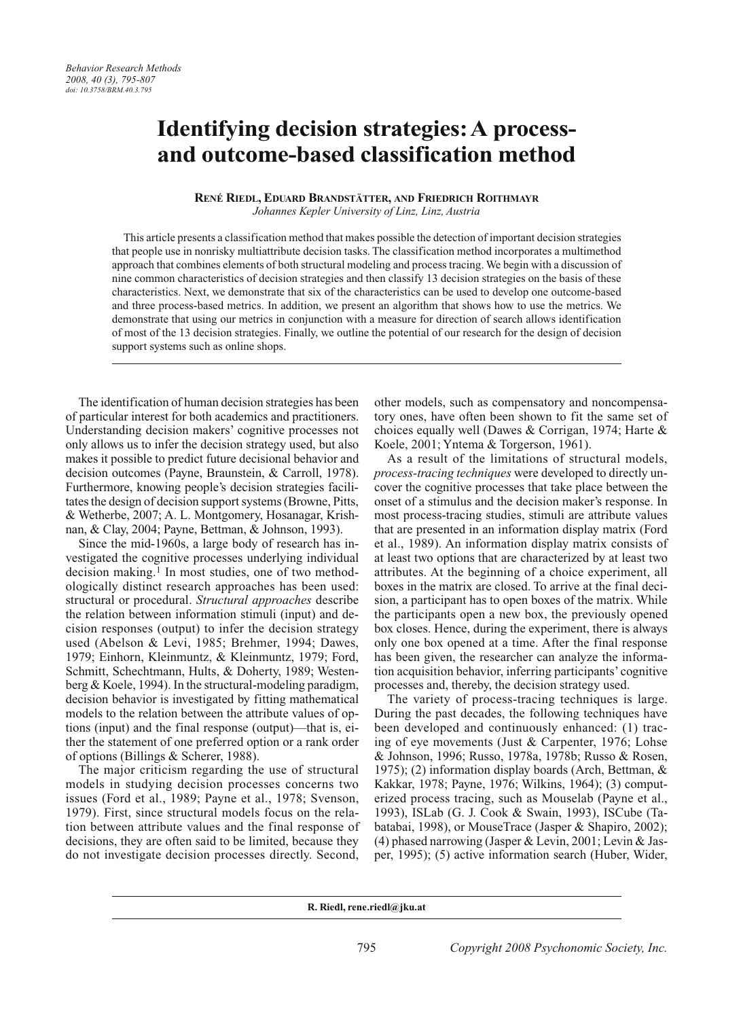# **Identifying decision strategies: A processand outcome-based classification method**

## **RENÉ RIEDL, EDUARD BRANDSTÄTTER, AND FRIEDRICH ROITHMAYR**

*Johannes Kepler University of Linz, Linz, Austria*

This article presents a classification method that makes possible the detection of important decision strategies that people use in nonrisky multiattribute decision tasks. The classification method incorporates a multimethod approach that combines elements of both structural modeling and process tracing. We begin with a discussion of nine common characteristics of decision strategies and then classify 13 decision strategies on the basis of these characteristics. Next, we demonstrate that six of the characteristics can be used to develop one outcome-based and three process-based metrics. In addition, we present an algorithm that shows how to use the metrics. We demonstrate that using our metrics in conjunction with a measure for direction of search allows identification of most of the 13 decision strategies. Finally, we outline the potential of our research for the design of decision support systems such as online shops.

The identification of human decision strategies has been of particular interest for both academics and practitioners. Understanding decision makers' cognitive processes not only allows us to infer the decision strategy used, but also makes it possible to predict future decisional behavior and decision outcomes (Payne, Braunstein, & Carroll, 1978). Furthermore, knowing people's decision strategies facilitates the design of decision support systems (Browne, Pitts, & Wetherbe, 2007; A. L. Montgomery, Hosanagar, Krishnan, & Clay, 2004; Payne, Bettman, & Johnson, 1993).

Since the mid-1960s, a large body of research has investigated the cognitive processes underlying individual decision making.<sup>1</sup> In most studies, one of two methodologically distinct research approaches has been used: structural or procedural. *Structural approaches* describe the relation between information stimuli (input) and decision responses (output) to infer the decision strategy used (Abelson & Levi, 1985; Brehmer, 1994; Dawes, 1979; Einhorn, Kleinmuntz, & Kleinmuntz, 1979; Ford, Schmitt, Schechtmann, Hults, & Doherty, 1989; Westenberg & Koele, 1994). In the structural-modeling paradigm, decision behavior is investigated by fitting mathematical models to the relation between the attribute values of options (input) and the final response (output)—that is, either the statement of one preferred option or a rank order of options (Billings & Scherer, 1988).

The major criticism regarding the use of structural models in studying decision processes concerns two issues (Ford et al., 1989; Payne et al., 1978; Svenson, 1979). First, since structural models focus on the relation between attribute values and the final response of decisions, they are often said to be limited, because they do not investigate decision processes directly. Second,

other models, such as compensatory and noncompensatory ones, have often been shown to fit the same set of choices equally well (Dawes & Corrigan, 1974; Harte & Koele, 2001; Yntema & Torgerson, 1961).

As a result of the limitations of structural models, *process-tracing techniques* were developed to directly uncover the cognitive processes that take place between the onset of a stimulus and the decision maker's response. In most process-tracing studies, stimuli are attribute values that are presented in an information display matrix (Ford et al., 1989). An information display matrix consists of at least two options that are characterized by at least two attributes. At the beginning of a choice experiment, all boxes in the matrix are closed. To arrive at the final decision, a participant has to open boxes of the matrix. While the participants open a new box, the previously opened box closes. Hence, during the experiment, there is always only one box opened at a time. After the final response has been given, the researcher can analyze the information acquisition behavior, inferring participants' cognitive processes and, thereby, the decision strategy used.

The variety of process-tracing techniques is large. During the past decades, the following techniques have been developed and continuously enhanced: (1) tracing of eye movements (Just & Carpenter, 1976; Lohse & Johnson, 1996; Russo, 1978a, 1978b; Russo & Rosen, 1975); (2) information display boards (Arch, Bettman, & Kakkar, 1978; Payne, 1976; Wilkins, 1964); (3) computerized process tracing, such as Mouselab (Payne et al., 1993), ISLab (G. J. Cook & Swain, 1993), ISCube (Tabatabai, 1998), or MouseTrace (Jasper & Shapiro, 2002); (4) phased narrowing (Jasper & Levin, 2001; Levin & Jasper, 1995); (5) active information search (Huber, Wider,

**R. Riedl, rene.riedl@jku.at**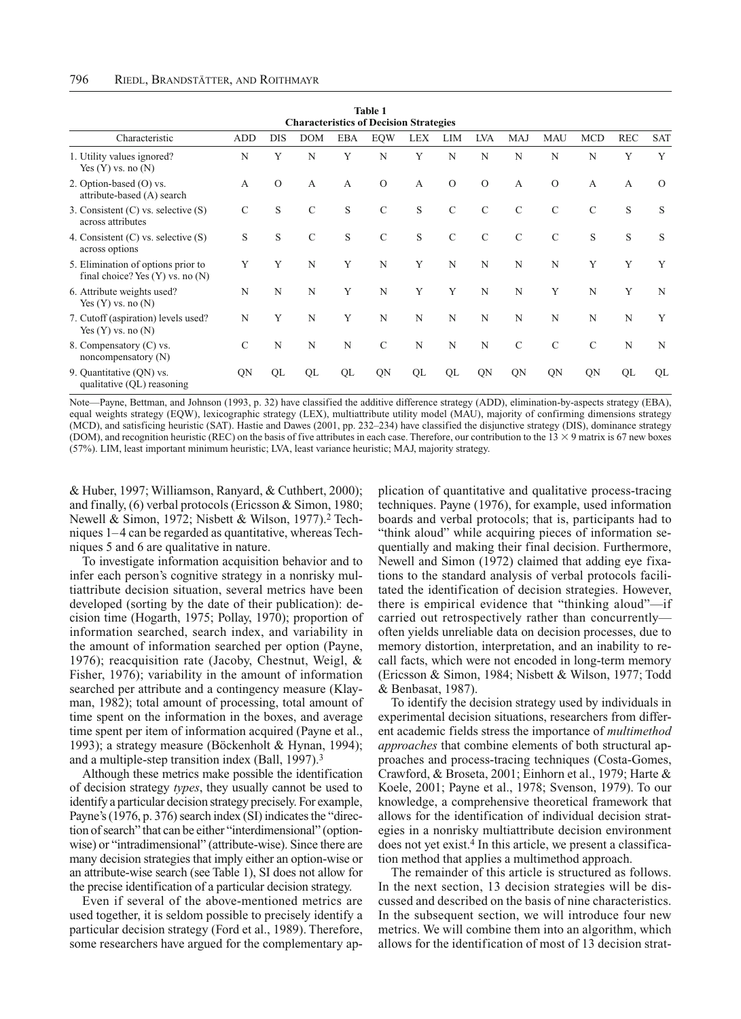|                                                                            |               |            |                                               |                | <b>Table 1</b> |            |               |               |               |               |               |            |            |
|----------------------------------------------------------------------------|---------------|------------|-----------------------------------------------|----------------|----------------|------------|---------------|---------------|---------------|---------------|---------------|------------|------------|
|                                                                            |               |            | <b>Characteristics of Decision Strategies</b> |                |                |            |               |               |               |               |               |            |            |
| Characteristic                                                             | ADD           | <b>DIS</b> | <b>DOM</b>                                    | <b>EBA</b>     | EQW            | <b>LEX</b> | LIM           | <b>LVA</b>    | MAJ           | <b>MAU</b>    | <b>MCD</b>    | <b>REC</b> | <b>SAT</b> |
| 1. Utility values ignored?<br>Yes $(Y)$ vs. no $(N)$                       | N             | Y          | N                                             | Y              | N              | Y          | N             | N             | N             | N             | N             | Y          | Y          |
| 2. Option-based (O) vs.<br>attribute-based (A) search                      | $\mathsf{A}$  | $\Omega$   | A                                             | $\overline{A}$ | $\Omega$       | A          | $\Omega$      | $\Omega$      | A             | $\Omega$      | $\mathsf{A}$  | A          | $\Omega$   |
| 3. Consistent $(C)$ vs. selective $(S)$<br>across attributes               | $\mathcal{C}$ | S          | $\mathcal{C}$                                 | S              | $\mathcal{C}$  | S          | $\mathcal{C}$ | $\mathcal{C}$ | $\mathcal{C}$ | $\mathcal{C}$ | $\mathcal{C}$ | S          | S          |
| 4. Consistent $(C)$ vs. selective $(S)$<br>across options                  | S             | S          | $\mathcal{C}$                                 | S              | $\mathcal{C}$  | S          | $\mathcal{C}$ | $\mathcal{C}$ | $\mathcal{C}$ | $\mathcal{C}$ | S             | S          | S          |
| 5. Elimination of options prior to<br>final choice? Yes $(Y)$ vs. no $(N)$ | Y             | Y          | N                                             | Y              | N              | Y          | N             | N             | N             | N             | Y             | Y          | Y          |
| 6. Attribute weights used?<br>Yes $(Y)$ vs. no $(N)$                       | N             | N          | N                                             | Y              | N              | Y          | Y             | N             | N             | Y             | N             | Y          | N          |
| 7. Cutoff (aspiration) levels used?<br>Yes $(Y)$ vs. no $(N)$              | N             | Y          | N                                             | Y              | N              | N          | N             | N             | N             | N             | N             | N          | Y          |
| 8. Compensatory (C) vs.<br>noncompensatory $(N)$                           | $\mathcal{C}$ | N          | $\mathbf N$                                   | N              | $\mathcal{C}$  | N          | N             | N             | $\mathcal{C}$ | $\mathcal{C}$ | $\mathcal{C}$ | N          | N          |
| 9. Quantitative (QN) vs.<br>qualitative (QL) reasoning                     | QN            | QL         | QL                                            | QL             | QN             | QL         | QL            | QN            | QN            | QN            | QN            | QL         | QL         |

Note—Payne, Bettman, and Johnson (1993, p. 32) have classified the additive difference strategy (ADD), elimination-by-aspects strategy (EBA), equal weights strategy (EQW), lexicographic strategy (LEX), multiattribute utility model (MAU), majority of confirming dimensions strategy (MCD), and satisficing heuristic (SAT). Hastie and Dawes (2001, pp. 232–234) have classified the disjunctive strategy (DIS), dominance strategy (DOM), and recognition heuristic (REC) on the basis of five attributes in each case. Therefore, our contribution to the  $13 \times 9$  matrix is 67 new boxes (57%). LIM, least important minimum heuristic; LVA, least variance heuristic; MAJ, majority strategy.

& Huber, 1997; Williamson, Ranyard, & Cuthbert, 2000); and finally, (6) verbal protocols (Ericsson & Simon, 1980; Newell & Simon, 1972; Nisbett & Wilson, 1977).2 Techniques 1–4 can be regarded as quantitative, whereas Techniques 5 and 6 are qualitative in nature.

To investigate information acquisition behavior and to infer each person's cognitive strategy in a nonrisky multiattribute decision situation, several metrics have been developed (sorting by the date of their publication): decision time (Hogarth, 1975; Pollay, 1970); proportion of information searched, search index, and variability in the amount of information searched per option (Payne, 1976); reacquisition rate (Jacoby, Chestnut, Weigl, & Fisher, 1976); variability in the amount of information searched per attribute and a contingency measure (Klayman, 1982); total amount of processing, total amount of time spent on the information in the boxes, and average time spent per item of information acquired (Payne et al., 1993); a strategy measure (Böckenholt & Hynan, 1994); and a multiple- step transition index (Ball, 1997).3

Although these metrics make possible the identification of decision strategy *types*, they usually cannot be used to identify a particular decision strategy precisely. For example, Payne's (1976, p. 376) search index (SI) indicates the "direction of search" that can be either "interdimensional" (optionwise) or "intradimensional" (attribute-wise). Since there are many decision strategies that imply either an option-wise or an attribute-wise search (see Table 1), SI does not allow for the precise identification of a particular decision strategy.

Even if several of the above-mentioned metrics are used together, it is seldom possible to precisely identify a particular decision strategy (Ford et al., 1989). Therefore, some researchers have argued for the complementary application of quantitative and qualitative process-tracing techniques. Payne (1976), for example, used information boards and verbal protocols; that is, participants had to "think aloud" while acquiring pieces of information sequentially and making their final decision. Furthermore, Newell and Simon (1972) claimed that adding eye fixations to the standard analysis of verbal protocols facilitated the identification of decision strategies. However, there is empirical evidence that "thinking aloud"—if carried out retrospectively rather than concurrently often yields unreliable data on decision processes, due to memory distortion, interpretation, and an inability to recall facts, which were not encoded in long-term memory (Ericsson & Simon, 1984; Nisbett & Wilson, 1977; Todd & Benbasat, 1987).

To identify the decision strategy used by individuals in experimental decision situations, researchers from different academic fields stress the importance of *multimethod approaches* that combine elements of both structural approaches and process-tracing techniques (Costa-Gomes, Crawford, & Broseta, 2001; Einhorn et al., 1979; Harte & Koele, 2001; Payne et al., 1978; Svenson, 1979). To our knowledge, a comprehensive theoretical framework that allows for the identification of individual decision strategies in a nonrisky multiattribute decision environment does not yet exist.4 In this article, we present a classification method that applies a multimethod approach.

The remainder of this article is structured as follows. In the next section, 13 decision strategies will be discussed and described on the basis of nine characteristics. In the subsequent section, we will introduce four new metrics. We will combine them into an algorithm, which allows for the identification of most of 13 decision strat-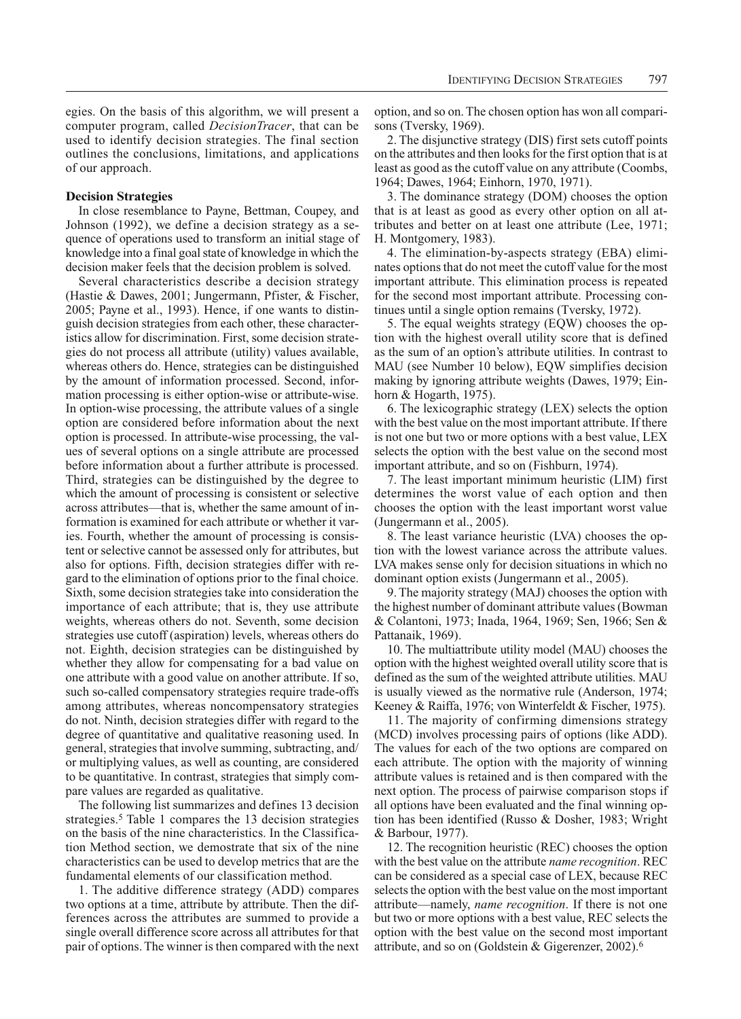egies. On the basis of this algorithm, we will present a computer program, called *DecisionTracer*, that can be used to identify decision strategies. The final section outlines the conclusions, limitations, and applications of our approach.

### **Decision Strategies**

In close resemblance to Payne, Bettman, Coupey, and Johnson (1992), we define a decision strategy as a sequence of operations used to transform an initial stage of knowledge into a final goal state of knowledge in which the decision maker feels that the decision problem is solved.

Several characteristics describe a decision strategy (Hastie & Dawes, 2001; Jungermann, Pfister, & Fischer, 2005; Payne et al., 1993). Hence, if one wants to distinguish decision strategies from each other, these characteristics allow for discrimination. First, some decision strategies do not process all attribute (utility) values available, whereas others do. Hence, strategies can be distinguished by the amount of information processed. Second, information processing is either option-wise or attribute-wise. In option-wise processing, the attribute values of a single option are considered before information about the next option is processed. In attribute-wise processing, the values of several options on a single attribute are processed before information about a further attribute is processed. Third, strategies can be distinguished by the degree to which the amount of processing is consistent or selective across attributes—that is, whether the same amount of information is examined for each attribute or whether it varies. Fourth, whether the amount of processing is consistent or selective cannot be assessed only for attributes, but also for options. Fifth, decision strategies differ with regard to the elimination of options prior to the final choice. Sixth, some decision strategies take into consideration the importance of each attribute; that is, they use attribute weights, whereas others do not. Seventh, some decision strategies use cutoff (aspiration) levels, whereas others do not. Eighth, decision strategies can be distinguished by whether they allow for compensating for a bad value on one attribute with a good value on another attribute. If so, such so-called compensatory strategies require trade-offs among attributes, whereas noncompensatory strategies do not. Ninth, decision strategies differ with regard to the degree of quantitative and qualitative reasoning used. In general, strategies that involve summing, subtracting, and/ or multiplying values, as well as counting, are considered to be quantitative. In contrast, strategies that simply compare values are regarded as qualitative.

The following list summarizes and defines 13 decision strategies.<sup>5</sup> Table 1 compares the 13 decision strategies on the basis of the nine characteristics. In the Classification Method section, we demostrate that six of the nine characteristics can be used to develop metrics that are the fundamental elements of our classification method.

1. The additive difference strategy (ADD) compares two options at a time, attribute by attribute. Then the differences across the attributes are summed to provide a single overall difference score across all attributes for that pair of options. The winner is then compared with the next

option, and so on. The chosen option has won all comparisons (Tversky, 1969).

2. The disjunctive strategy (DIS) first sets cutoff points on the attributes and then looks for the first option that is at least as good as the cutoff value on any attribute (Coombs, 1964; Dawes, 1964; Einhorn, 1970, 1971).

3. The dominance strategy (DOM) chooses the option that is at least as good as every other option on all attributes and better on at least one attribute (Lee, 1971; H. Montgomery, 1983).

4. The elimination-by-aspects strategy (EBA) eliminates options that do not meet the cutoff value for the most important attribute. This elimination process is repeated for the second most important attribute. Processing continues until a single option remains (Tversky, 1972).

5. The equal weights strategy (EQW) chooses the option with the highest overall utility score that is defined as the sum of an option's attribute utilities. In contrast to MAU (see Number 10 below), EQW simplifies decision making by ignoring attribute weights (Dawes, 1979; Einhorn & Hogarth, 1975).

6. The lexicographic strategy (LEX) selects the option with the best value on the most important attribute. If there is not one but two or more options with a best value, LEX selects the option with the best value on the second most important attribute, and so on (Fishburn, 1974).

7. The least important minimum heuristic (LIM) first determines the worst value of each option and then chooses the option with the least important worst value (Jungermann et al., 2005).

8. The least variance heuristic (LVA) chooses the option with the lowest variance across the attribute values. LVA makes sense only for decision situations in which no dominant option exists (Jungermann et al., 2005).

9. The majority strategy (MAJ) chooses the option with the highest number of dominant attribute values (Bowman & Colantoni, 1973; Inada, 1964, 1969; Sen, 1966; Sen & Pattanaik, 1969).

10. The multiattribute utility model (MAU) chooses the option with the highest weighted overall utility score that is defined as the sum of the weighted attribute utilities. MAU is usually viewed as the normative rule (Anderson, 1974; Keeney & Raiffa, 1976; von Winterfeldt & Fischer, 1975).

11. The majority of confirming dimensions strategy (MCD) involves processing pairs of options (like ADD). The values for each of the two options are compared on each attribute. The option with the majority of winning attribute values is retained and is then compared with the next option. The process of pairwise comparison stops if all options have been evaluated and the final winning option has been identified (Russo & Dosher, 1983; Wright & Barbour, 1977).

12. The recognition heuristic (REC) chooses the option with the best value on the attribute *name recognition*. REC can be considered as a special case of LEX, because REC selects the option with the best value on the most important attribute—namely, *name recognition*. If there is not one but two or more options with a best value, REC selects the option with the best value on the second most important attribute, and so on (Goldstein & Gigerenzer, 2002).6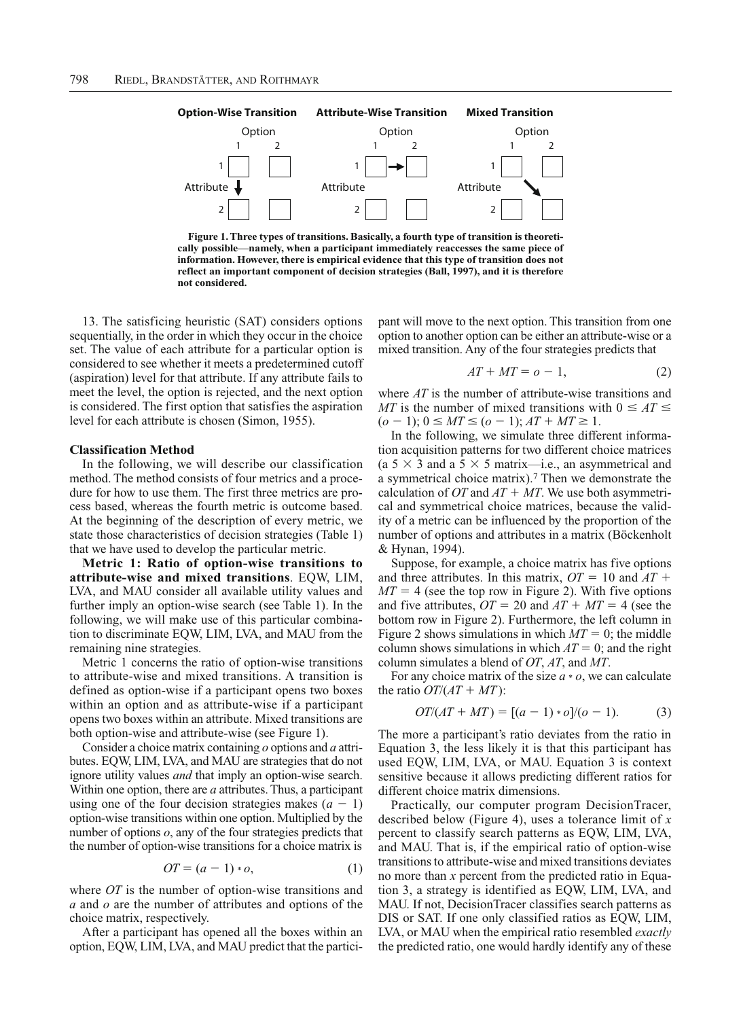

**Figure 1. Three types of transitions. Basically, a fourth type of transition is theoretically possible—namely, when a participant immediately reaccesses the same piece of information. However, there is empirical evidence that this type of transition does not reflect an important component of decision strategies (Ball, 1997), and it is therefore not considered.**

13. The satisficing heuristic (SAT) considers options sequentially, in the order in which they occur in the choice set. The value of each attribute for a particular option is considered to see whether it meets a predetermined cutoff (aspiration) level for that attribute. If any attribute fails to meet the level, the option is rejected, and the next option is considered. The first option that satisfies the aspiration level for each attribute is chosen (Simon, 1955).

#### **Classification Method**

In the following, we will describe our classification method. The method consists of four metrics and a procedure for how to use them. The first three metrics are process based, whereas the fourth metric is outcome based. At the beginning of the description of every metric, we state those characteristics of decision strategies (Table 1) that we have used to develop the particular metric.

**Metric 1: Ratio of option-wise transitions to attribute- wise and mixed transitions**. EQW, LIM, LVA, and MAU consider all available utility values and further imply an option-wise search (see Table 1). In the following, we will make use of this particular combination to discriminate EQW, LIM, LVA, and MAU from the remaining nine strategies.

Metric 1 concerns the ratio of option-wise transitions to attribute-wise and mixed transitions. A transition is defined as option-wise if a participant opens two boxes within an option and as attribute-wise if a participant opens two boxes within an attribute. Mixed transitions are both option-wise and attribute-wise (see Figure 1).

Consider a choice matrix containing *o* options and *a* attributes. EQW, LIM, LVA, and MAU are strategies that do not ignore utility values *and* that imply an option-wise search. Within one option, there are *a* attributes. Thus, a participant using one of the four decision strategies makes  $(a - 1)$ option- wise transitions within one option. Multiplied by the number of options *o*, any of the four strategies predicts that the number of option-wise transitions for a choice matrix is

$$
OT = (a-1)*o,
$$
 (1)

where *OT* is the number of option-wise transitions and *a* and *o* are the number of attributes and options of the choice matrix, respectively.

After a participant has opened all the boxes within an option, EQW, LIM, LVA, and MAU predict that the participant will move to the next option. This transition from one option to another option can be either an attribute-wise or a mixed transition. Any of the four strategies predicts that

$$
AT + MT = o - 1,\tag{2}
$$

where *AT* is the number of attribute-wise transitions and *MT* is the number of mixed transitions with  $0 \leq AT \leq$  $(o-1); 0 \leq MT \leq (o-1); AT + MT \geq 1.$ 

In the following, we simulate three different information acquisition patterns for two different choice matrices (a  $5 \times 3$  and a  $5 \times 5$  matrix—i.e., an asymmetrical and a symmetrical choice matrix).7 Then we demonstrate the calculation of *OT* and  $AT + MT$ . We use both asymmetrical and symmetrical choice matrices, because the validity of a metric can be influenced by the proportion of the number of options and attributes in a matrix (Böckenholt & Hynan, 1994).

Suppose, for example, a choice matrix has five options and three attributes. In this matrix,  $OT = 10$  and  $AT +$  $MT = 4$  (see the top row in Figure 2). With five options and five attributes,  $OT = 20$  and  $AT + MT = 4$  (see the bottom row in Figure 2). Furthermore, the left column in Figure 2 shows simulations in which  $MT = 0$ ; the middle column shows simulations in which  $AT = 0$ ; and the right column simulates a blend of *OT*, *AT*, and *MT*.

For any choice matrix of the size *a* \* *o*, we can calculate the ratio  $OT/(AT + MT)$ :

$$
OT/(AT + MT) = [(a - 1) * o]/(o - 1).
$$
 (3)

The more a participant's ratio deviates from the ratio in Equation 3, the less likely it is that this participant has used EQW, LIM, LVA, or MAU. Equation 3 is context sensitive because it allows predicting different ratios for different choice matrix dimensions.

Practically, our computer program DecisionTracer, described below (Figure 4), uses a tolerance limit of *x* percent to classify search patterns as EQW, LIM, LVA, and MAU. That is, if the empirical ratio of option-wise transitions to attribute-wise and mixed transitions deviates no more than *x* percent from the predicted ratio in Equation 3, a strategy is identified as EQW, LIM, LVA, and MAU. If not, DecisionTracer classifies search patterns as DIS or SAT. If one only classified ratios as EQW, LIM, LVA, or MAU when the empirical ratio resembled *exactly* the predicted ratio, one would hardly identify any of these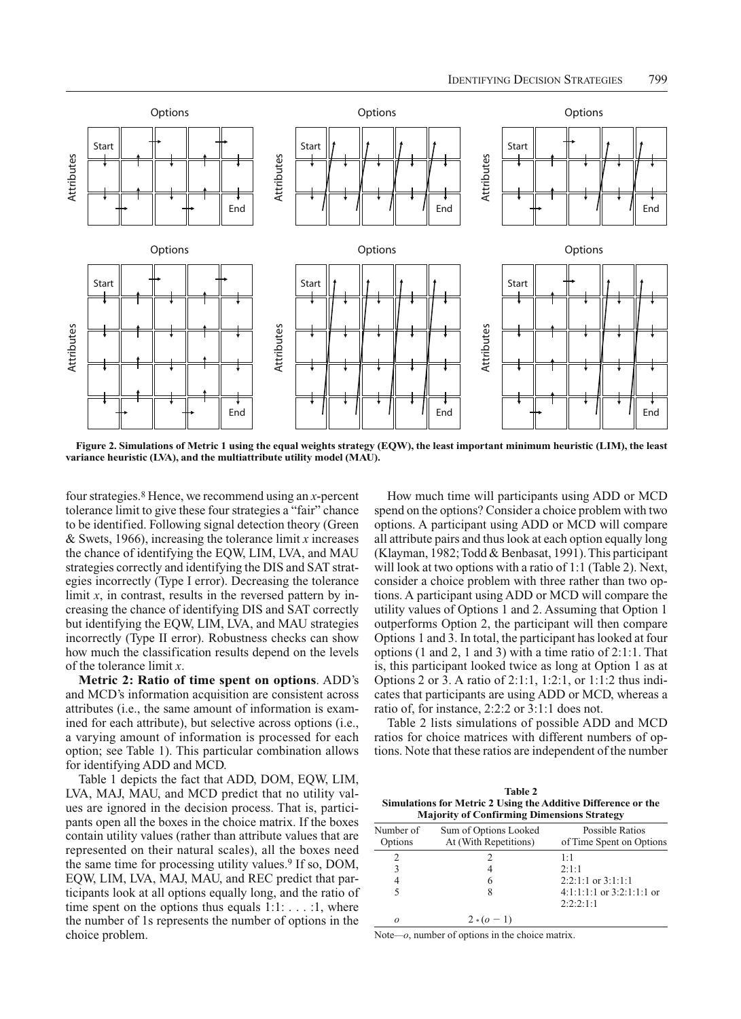

**Figure 2. Simulations of Metric 1 using the equal weights strategy (EQW), the least important minimum heuristic (LIM), the least variance heuristic (LVA), and the multiattribute utility model (MAU).**

four strategies.8 Hence, we recommend using an *x*-percent tolerance limit to give these four strategies a "fair" chance to be identified. Following signal detection theory (Green & Swets, 1966), increasing the tolerance limit *x* increases the chance of identifying the EQW, LIM, LVA, and MAU strategies correctly and identifying the DIS and SAT strategies incorrectly (Type I error). Decreasing the tolerance limit *x*, in contrast, results in the reversed pattern by increasing the chance of identifying DIS and SAT correctly but identifying the EQW, LIM, LVA, and MAU strategies incorrectly (Type II error). Robustness checks can show how much the classification results depend on the levels of the tolerance limit *x*.

**Metric 2: Ratio of time spent on options**. ADD's and MCD's information acquisition are consistent across attributes (i.e., the same amount of information is examined for each attribute), but selective across options (i.e., a varying amount of information is processed for each option; see Table 1). This particular combination allows for identifying ADD and MCD.

Table 1 depicts the fact that ADD, DOM, EQW, LIM, LVA, MAJ, MAU, and MCD predict that no utility values are ignored in the decision process. That is, participants open all the boxes in the choice matrix. If the boxes contain utility values (rather than attribute values that are represented on their natural scales), all the boxes need the same time for processing utility values.9 If so, DOM, EQW, LIM, LVA, MAJ, MAU, and REC predict that participants look at all options equally long, and the ratio of time spent on the options thus equals  $1:1: \ldots:1$ , where the number of 1s represents the number of options in the choice problem.

How much time will participants using ADD or MCD spend on the options? Consider a choice problem with two options. A participant using ADD or MCD will compare all attribute pairs and thus look at each option equally long (Klayman, 1982; Todd & Benbasat, 1991). This participant will look at two options with a ratio of 1:1 (Table 2). Next, consider a choice problem with three rather than two options. A participant using ADD or MCD will compare the utility values of Options 1 and 2. Assuming that Option 1 outperforms Option 2, the participant will then compare Options 1 and 3. In total, the participant has looked at four options (1 and 2, 1 and 3) with a time ratio of 2:1:1. That is, this participant looked twice as long at Option 1 as at Options 2 or 3. A ratio of 2:1:1, 1:2:1, or 1:1:2 thus indicates that participants are using ADD or MCD, whereas a ratio of, for instance, 2:2:2 or 3:1:1 does not.

Table 2 lists simulations of possible ADD and MCD ratios for choice matrices with different numbers of options. Note that these ratios are independent of the number

| Table 2                                                       |
|---------------------------------------------------------------|
| Simulations for Metric 2 Using the Additive Difference or the |
| <b>Majority of Confirming Dimensions Strategy</b>             |

| Number of<br>Options | Sum of Options Looked<br>At (With Repetitions) | Possible Ratios<br>of Time Spent on Options |
|----------------------|------------------------------------------------|---------------------------------------------|
|                      |                                                | $1 \cdot 1$                                 |
|                      |                                                | 2:1:1                                       |
| 4                    | 6                                              | $2:2:1:1$ or $3:1:1:1$                      |
|                      |                                                | $4:1:1:1:1$ or $3:2:1:1:1$ or<br>2:2:2:1:1  |
|                      | $2*(o-1)$                                      |                                             |

Note*—o*, number of options in the choice matrix.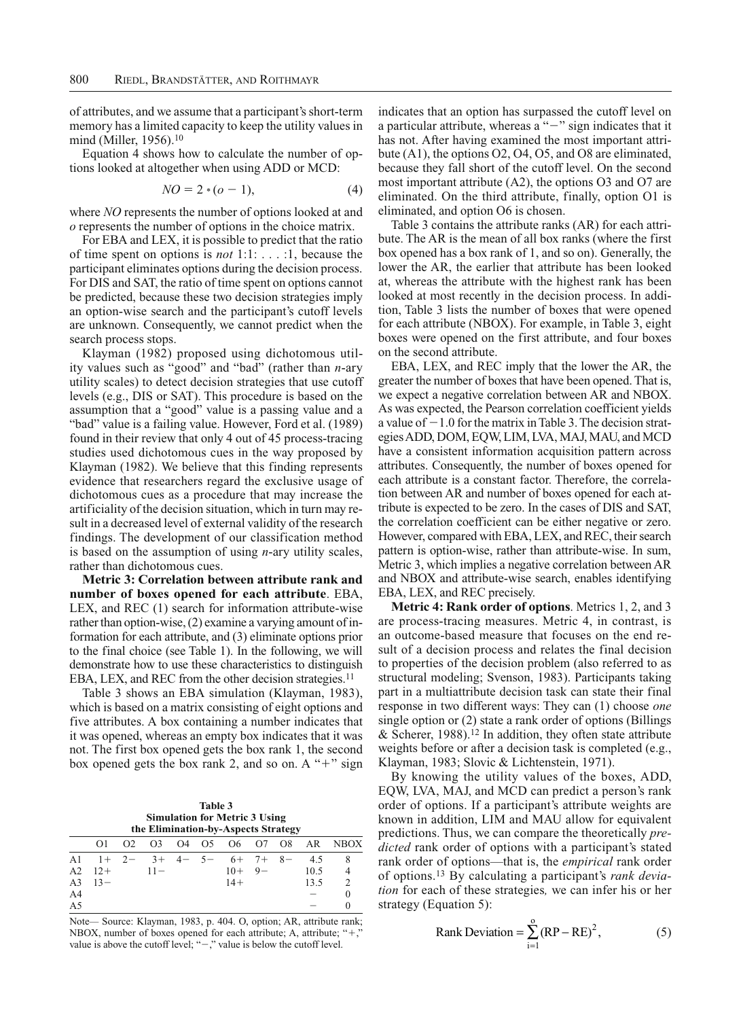of attributes, and we assume that a participant's short-term memory has a limited capacity to keep the utility values in mind (Miller, 1956).10

Equation 4 shows how to calculate the number of options looked at altogether when using ADD or MCD:

$$
NO = 2*(o-1),
$$
 (4)

where *NO* represents the number of options looked at and *o* represents the number of options in the choice matrix.

For EBA and LEX, it is possible to predict that the ratio of time spent on options is *not* 1:1: . . . :1, because the participant eliminates options during the decision process. For DIS and SAT, the ratio of time spent on options cannot be predicted, because these two decision strategies imply an option-wise search and the participant's cutoff levels are unknown. Consequently, we cannot predict when the search process stops.

Klayman (1982) proposed using dichotomous utility values such as "good" and "bad" (rather than *n*-ary utility scales) to detect decision strategies that use cutoff levels (e.g., DIS or SAT). This procedure is based on the assumption that a "good" value is a passing value and a "bad" value is a failing value. However, Ford et al. (1989) found in their review that only 4 out of 45 process-tracing studies used dichotomous cues in the way proposed by Klayman (1982). We believe that this finding represents evidence that researchers regard the exclusive usage of dichotomous cues as a procedure that may increase the artificiality of the decision situation, which in turn may result in a decreased level of external validity of the research findings. The development of our classification method is based on the assumption of using *n*-ary utility scales, rather than dichotomous cues.

**Metric 3: Correlation between attribute rank and number of boxes opened for each attribute**. EBA, LEX, and REC (1) search for information attribute-wise rather than option-wise, (2) examine a varying amount of information for each attribute, and (3) eliminate options prior to the final choice (see Table 1). In the following, we will demonstrate how to use these characteristics to distinguish EBA, LEX, and REC from the other decision strategies.<sup>11</sup>

Table 3 shows an EBA simulation (Klayman, 1983), which is based on a matrix consisting of eight options and five attributes. A box containing a number indicates that it was opened, whereas an empty box indicates that it was not. The first box opened gets the box rank 1, the second box opened gets the box rank 2, and so on. A " $+$ " sign

| Table 3                              |
|--------------------------------------|
| <b>Simulation for Metric 3 Using</b> |
| the Elimination-by-Aspects Strategy  |

|    |                  |  |  |                                          |  |      | 01 02 03 04 05 06 07 08 AR NBOX |
|----|------------------|--|--|------------------------------------------|--|------|---------------------------------|
|    |                  |  |  | A1 1 + 2 - 3 + 4 - 5 - 6 + 7 + 8 - 4.5 8 |  |      |                                 |
|    | $A2 \t12+ \t11-$ |  |  | $10 + 9 -$                               |  | 10.5 | $\overline{4}$                  |
|    | $A3 \t13-$       |  |  | $14+$                                    |  | 13.5 |                                 |
| A4 |                  |  |  |                                          |  |      |                                 |
| A5 |                  |  |  |                                          |  |      |                                 |

Note*—* Source: Klayman, 1983, p. 404. O, option; AR, attribute rank; NBOX, number of boxes opened for each attribute; A, attribute; "+," value is above the cutoff level; " $-$ ," value is below the cutoff level.

indicates that an option has surpassed the cutoff level on a particular attribute, whereas a " $-$ " sign indicates that it has not. After having examined the most important attribute (A1), the options O2, O4, O5, and O8 are eliminated, because they fall short of the cutoff level. On the second most important attribute (A2), the options O3 and O7 are eliminated. On the third attribute, finally, option O1 is eliminated, and option O6 is chosen.

Table 3 contains the attribute ranks (AR) for each attribute. The AR is the mean of all box ranks (where the first box opened has a box rank of 1, and so on). Generally, the lower the AR, the earlier that attribute has been looked at, whereas the attribute with the highest rank has been looked at most recently in the decision process. In addition, Table 3 lists the number of boxes that were opened for each attribute (NBOX). For example, in Table 3, eight boxes were opened on the first attribute, and four boxes on the second attribute.

EBA, LEX, and REC imply that the lower the AR, the greater the number of boxes that have been opened. That is, we expect a negative correlation between AR and NBOX. As was expected, the Pearson correlation coefficient yields a value of  $-1.0$  for the matrix in Table 3. The decision strategies ADD, DOM, EQW, LIM, LVA, MAJ, MAU, and MCD have a consistent information acquisition pattern across attributes. Consequently, the number of boxes opened for each attribute is a constant factor. Therefore, the correlation between AR and number of boxes opened for each attribute is expected to be zero. In the cases of DIS and SAT, the correlation coefficient can be either negative or zero. However, compared with EBA, LEX, and REC, their search pattern is option-wise, rather than attribute-wise. In sum, Metric 3, which implies a negative correlation between AR and NBOX and attribute-wise search, enables identifying EBA, LEX, and REC precisely.

**Metric 4: Rank order of options**. Metrics 1, 2, and 3 are process-tracing measures. Metric 4, in contrast, is an outcome-based measure that focuses on the end result of a decision process and relates the final decision to properties of the decision problem (also referred to as structural modeling; Svenson, 1983). Participants taking part in a multiattribute decision task can state their final response in two different ways: They can (1) choose *one* single option or (2) state a rank order of options (Billings & Scherer, 1988).<sup>12</sup> In addition, they often state attribute weights before or after a decision task is completed (e.g., Klayman, 1983; Slovic & Lichtenstein, 1971).

By knowing the utility values of the boxes, ADD, EQW, LVA, MAJ, and MCD can predict a person's rank order of options. If a participant's attribute weights are known in addition, LIM and MAU allow for equivalent predictions. Thus, we can compare the theoretically *predicted* rank order of options with a participant's stated rank order of options—that is, the *empirical* rank order of options.13 By calculating a participant's *rank deviation* for each of these strategies*,* we can infer his or her strategy (Equation 5):

Rank Deviation = 
$$
\sum_{i=1}^{o} (RP - RE)^2,
$$
 (5)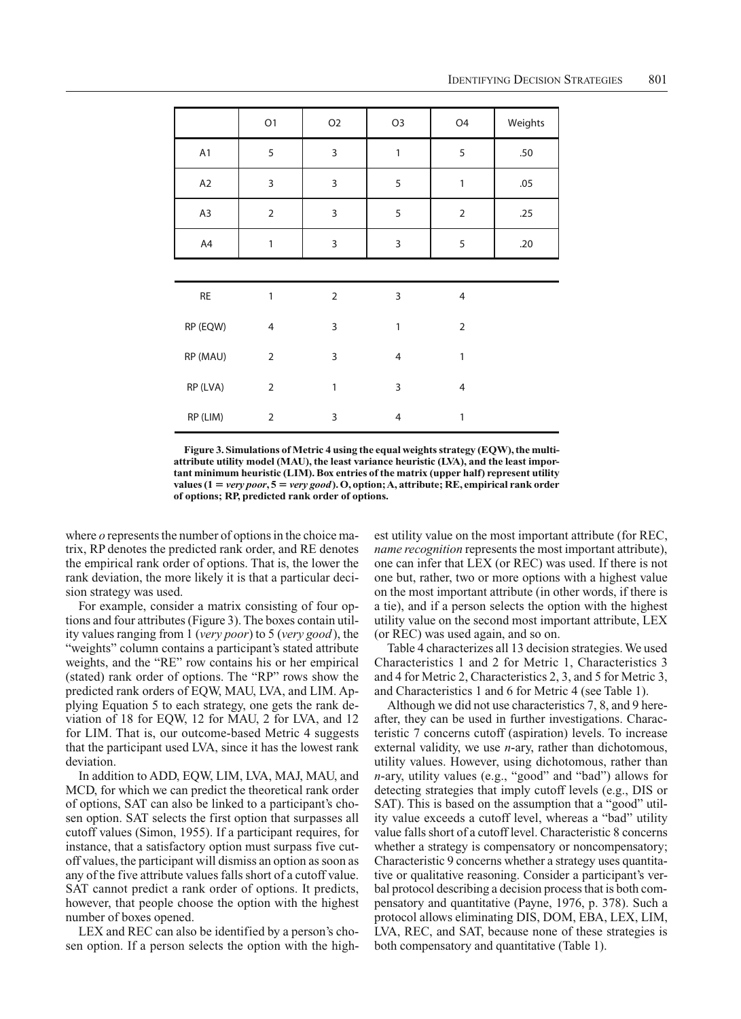|          | O <sub>1</sub> | O <sub>2</sub>          | O <sub>3</sub> | O <sub>4</sub> | Weights |
|----------|----------------|-------------------------|----------------|----------------|---------|
| A1       | 5              | 3                       | $\mathbf{1}$   | 5              | .50     |
| A2       | 3              | $\overline{\mathbf{3}}$ | 5              | $\mathbf{1}$   | .05     |
| A3       | $\overline{2}$ | 3                       | 5              | $\overline{2}$ | .25     |
| A4       | $\mathbbm{1}$  | $\overline{\mathbf{3}}$ | $\mathsf{3}$   | 5              | .20     |
|          |                |                         |                |                |         |
| $\sf RE$ | $\mathbf{1}$   | $\mathbf 2$             | 3              | $\sqrt{4}$     |         |
| RP (EQW) | $\overline{4}$ | 3                       | $\mathbf{1}$   | $\overline{2}$ |         |
| RP (MAU) | $\overline{2}$ | 3                       | $\overline{4}$ | $\mathbf{1}$   |         |
| RP (LVA) | $\overline{2}$ | $\mathbf{1}$            | 3              | $\overline{4}$ |         |
| RP (LIM) | $\overline{2}$ | 3                       | $\overline{4}$ | 1              |         |

**Figure 3. Simulations of Metric 4 using the equal weights strategy (EQW), the multiattribute utility model (MAU), the least variance heuristic (LVA), and the least important minimum heuristic (LIM). Box entries of the matrix (upper half) represent utility values (1**  *very poor***, 5**  *very good***). O, option; A, attribute; RE, empirical rank order of options; RP, predicted rank order of options.**

where *o* represents the number of options in the choice matrix, RP denotes the predicted rank order, and RE denotes the empirical rank order of options. That is, the lower the rank deviation, the more likely it is that a particular decision strategy was used.

For example, consider a matrix consisting of four options and four attributes (Figure 3). The boxes contain utility values ranging from 1 (*very poor*) to 5 (*very good*), the "weights" column contains a participant's stated attribute weights, and the "RE" row contains his or her empirical (stated) rank order of options. The "RP" rows show the predicted rank orders of EQW, MAU, LVA, and LIM. Applying Equation 5 to each strategy, one gets the rank deviation of 18 for EQW, 12 for MAU, 2 for LVA, and 12 for LIM. That is, our outcome-based Metric 4 suggests that the participant used LVA, since it has the lowest rank deviation.

In addition to ADD, EQW, LIM, LVA, MAJ, MAU, and MCD, for which we can predict the theoretical rank order of options, SAT can also be linked to a participant's chosen option. SAT selects the first option that surpasses all cutoff values (Simon, 1955). If a participant requires, for instance, that a satisfactory option must surpass five cutoff values, the participant will dismiss an option as soon as any of the five attribute values falls short of a cutoff value. SAT cannot predict a rank order of options. It predicts, however, that people choose the option with the highest number of boxes opened.

LEX and REC can also be identified by a person's chosen option. If a person selects the option with the high-

est utility value on the most important attribute (for REC, *name recognition* represents the most important attribute), one can infer that LEX (or REC) was used. If there is not one but, rather, two or more options with a highest value on the most important attribute (in other words, if there is a tie), and if a person selects the option with the highest utility value on the second most important attribute, LEX (or REC) was used again, and so on.

Table 4 characterizes all 13 decision strategies. We used Characteristics 1 and 2 for Metric 1, Characteristics 3 and 4 for Metric 2, Characteristics 2, 3, and 5 for Metric 3, and Characteristics 1 and 6 for Metric 4 (see Table 1).

Although we did not use characteristics 7, 8, and 9 hereafter, they can be used in further investigations. Characteristic 7 concerns cutoff (aspiration) levels. To increase external validity, we use *n*-ary, rather than dichotomous, utility values. However, using dichotomous, rather than *n*-ary, utility values (e.g., "good" and "bad") allows for detecting strategies that imply cutoff levels (e.g., DIS or SAT). This is based on the assumption that a "good" utility value exceeds a cutoff level, whereas a "bad" utility value falls short of a cutoff level. Characteristic 8 concerns whether a strategy is compensatory or noncompensatory; Characteristic 9 concerns whether a strategy uses quantitative or qualitative reasoning. Consider a participant's verbal protocol describing a decision process that is both compensatory and quantitative (Payne, 1976, p. 378). Such a protocol allows eliminating DIS, DOM, EBA, LEX, LIM, LVA, REC, and SAT, because none of these strategies is both compensatory and quantitative (Table 1).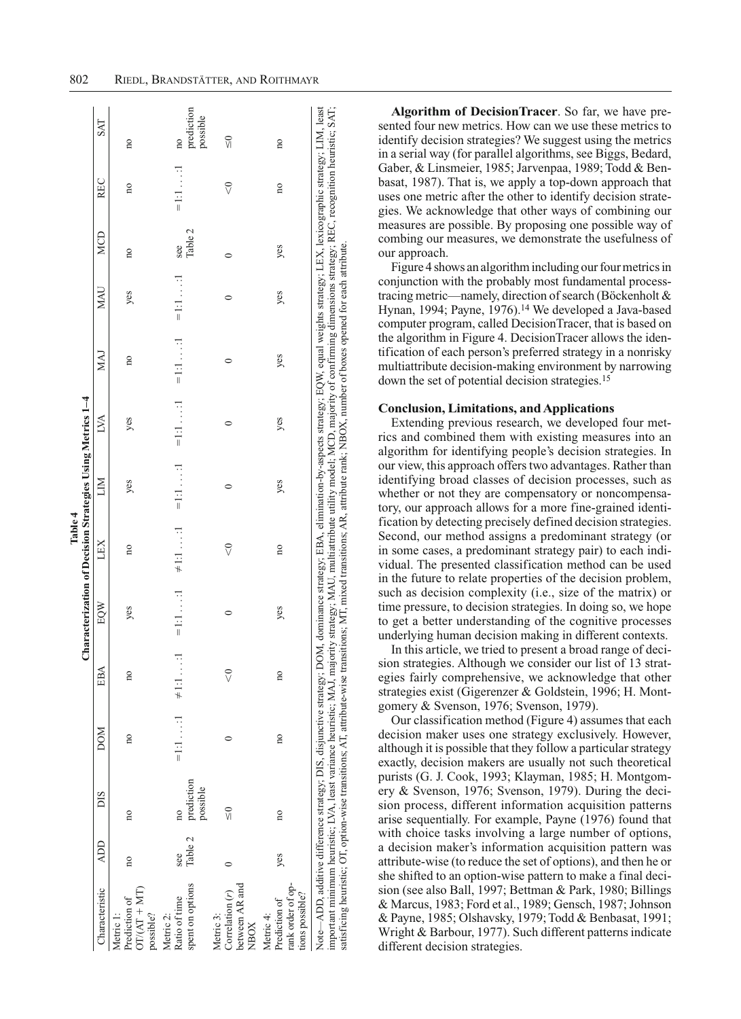|                                                                                                                                                                                                                                                                                                                                                                                                                                                                                                                                                                                                       |                         |                          |                          |                             |          | Characterization of Decision Strategies Using Metrics 1-4<br>Table 4 |            |                                   |                         |          |                          |                         |                                           |
|-------------------------------------------------------------------------------------------------------------------------------------------------------------------------------------------------------------------------------------------------------------------------------------------------------------------------------------------------------------------------------------------------------------------------------------------------------------------------------------------------------------------------------------------------------------------------------------------------------|-------------------------|--------------------------|--------------------------|-----------------------------|----------|----------------------------------------------------------------------|------------|-----------------------------------|-------------------------|----------|--------------------------|-------------------------|-------------------------------------------|
| Characteristic                                                                                                                                                                                                                                                                                                                                                                                                                                                                                                                                                                                        | <b>ADD</b>              | <b>DIS</b>               | DOM                      | EBA                         | EQW      | LEX                                                                  | <b>NIT</b> | LVA                               | <b>NN</b>               | MAU      | MCD                      | <b>REC</b>              | <b>EAS</b>                                |
| $OT/ (AT + MT)$<br>Prediction of<br>Metric 1:<br>possible?                                                                                                                                                                                                                                                                                                                                                                                                                                                                                                                                            | $\overline{\mathrm{m}}$ | $\overline{\phantom{0}}$ | $\overline{\phantom{0}}$ | $\overline{a}$              | yes      | $\overline{\phantom{0}}$                                             | yes        | yes                               | $\overline{\mathbf{n}}$ | yes      | $\overline{\phantom{0}}$ | $\overline{\mathbf{n}}$ | $\overline{\mathbf{n}}$                   |
| spent on options<br>Ratio of time<br>Metric 2:                                                                                                                                                                                                                                                                                                                                                                                                                                                                                                                                                        | Table 2<br>see          | prediction<br>possible   | $= 1:111$                | $\frac{1}{2}$<br>$\neq$ 1:1 | $= 1:11$ | $\neq$ 1:1  .1                                                       |            | <b>THE THE THE THILL THAT THE</b> |                         | $= 1:11$ | Table 2<br>see           | $=1:11$                 | prediction<br>possible<br>$\overline{10}$ |
| between AR and<br>Correlation $(r)$<br>Metric 3:<br><b>NBOX</b>                                                                                                                                                                                                                                                                                                                                                                                                                                                                                                                                       |                         | $\sqrt{2}$               |                          | $\sqrt{ }$                  | 0        | $\heartsuit$                                                         | 0          |                                   |                         |          |                          | $\heartsuit$            | $\sqrt{2}$                                |
| rank order of op-<br>tions possible?<br>Prediction of<br>Metric 4:                                                                                                                                                                                                                                                                                                                                                                                                                                                                                                                                    | yes                     | $\overline{\phantom{0}}$ | $\overline{a}$           | $\overline{a}$              | yes      | $\overline{\mathbf{n}}$                                              | yes        | yes                               | yes                     | yes      | yes                      | $\overline{a}$          | $\overline{\mathbf{a}}$                   |
| important minimum heuristic; LVA, least variance heuristic; MAJ, majority strategy; MAU, multiattribute utility model; MCD, majority of confirming dimensions strategy; REC, recognition heuristic; SAT;<br>Note—ADD, additive difference strategy; DIS, disjunctive strategy; DOM, dominance strategy; EBA, elimination-by-aspects strategy; EQW, equal weights strategy; LEX, lexicographic strategy; LIM, least<br>satisficing heuristic; OT, option-wise transitions; AT, attribute-wise transitions; MT, mixed transitions; AR, attribute rank; NBOX, number of boxes opened for each attribute. |                         |                          |                          |                             |          |                                                                      |            |                                   |                         |          |                          |                         |                                           |

**Algorithm of DecisionTracer**. So far, we have presented four new metrics. How can we use these metrics to identify decision strategies? We suggest using the metrics in a serial way (for parallel algorithms, see Biggs, Bedard, Gaber, & Linsmeier, 1985; Jarvenpaa, 1989; Todd & Benbasat, 1987). That is, we apply a top-down approach that uses one metric after the other to identify decision strategies. We acknowledge that other ways of combining our measures are possible. By proposing one possible way of combing our measures, we demonstrate the usefulness of our approach.

Figure 4 shows an algorithm including our four metrics in conjunction with the probably most fundamental process tracing metric—namely, direction of search (Böckenholt & Hynan, 1994; Payne, 1976).<sup>14</sup> We developed a Java-based computer program, called DecisionTracer, that is based on the algorithm in Figure 4. DecisionTracer allows the identification of each person's preferred strategy in a nonrisky multiattribute decision-making environment by narrowing down the set of potential decision strategies.15

#### **Conclusion, Limitations, and Applications**

Extending previous research, we developed four metrics and combined them with existing measures into an algorithm for identifying people's decision strategies. In our view, this approach offers two advantages. Rather than identifying broad classes of decision processes, such as whether or not they are compensatory or noncompensatory, our approach allows for a more fine-grained identification by detecting precisely defined decision strategies. Second, our method assigns a predominant strategy (or in some cases, a predominant strategy pair) to each individual. The presented classification method can be used in the future to relate properties of the decision problem, such as decision complexity (i.e., size of the matrix) or time pressure, to decision strategies. In doing so, we hope to get a better understanding of the cognitive processes underlying human decision making in different contexts.

In this article, we tried to present a broad range of decision strategies. Although we consider our list of 13 strategies fairly comprehensive, we acknowledge that other strategies exist (Gigerenzer & Goldstein, 1996; H. Montgomery & Svenson, 1976; Svenson, 1979).

Our classification method (Figure 4) assumes that each decision maker uses one strategy exclusively. However, although it is possible that they follow a particular strategy exactly, decision makers are usually not such theoretical purists (G. J. Cook, 1993; Klayman, 1985; H. Montgomery & Svenson, 1976; Svenson, 1979). During the decision process, different information acquisition patterns arise sequentially. For example, Payne (1976) found that with choice tasks involving a large number of options, a decision maker's information acquisition pattern was attribute-wise (to reduce the set of options), and then he or she shifted to an option-wise pattern to make a final decision (see also Ball, 1997; Bettman & Park, 1980; Billings & Marcus, 1983; Ford et al., 1989; Gensch, 1987; Johnson & Payne, 1985; Olshavsky, 1979; Todd & Benbasat, 1991; Wright & Barbour, 1977). Such different patterns indicate different decision strategies.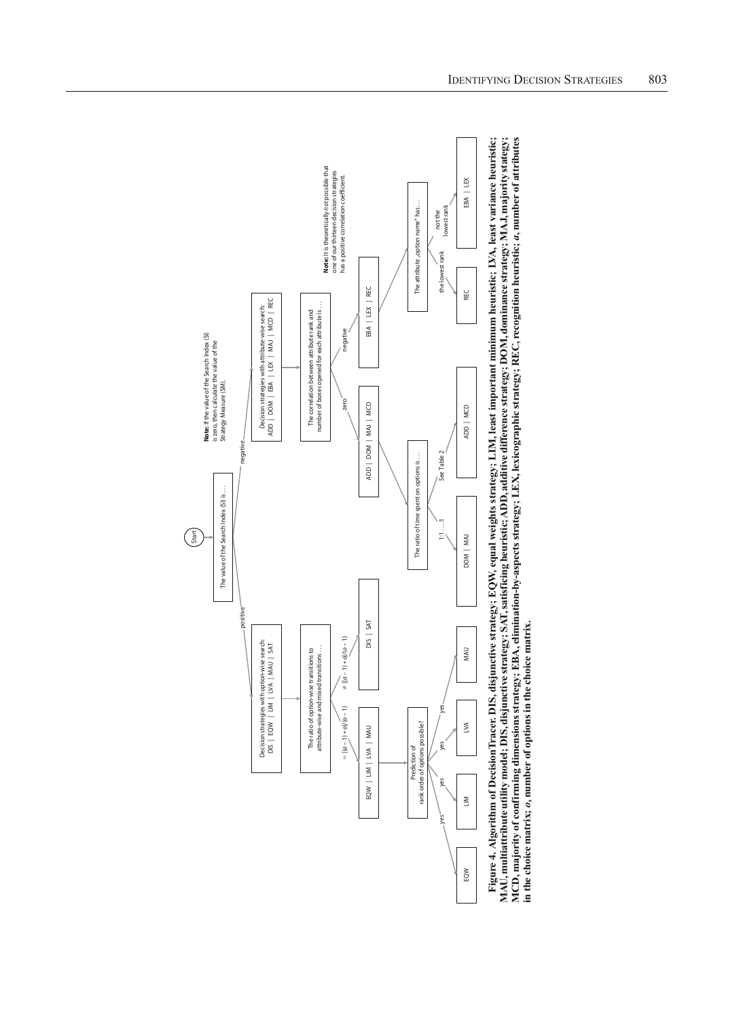

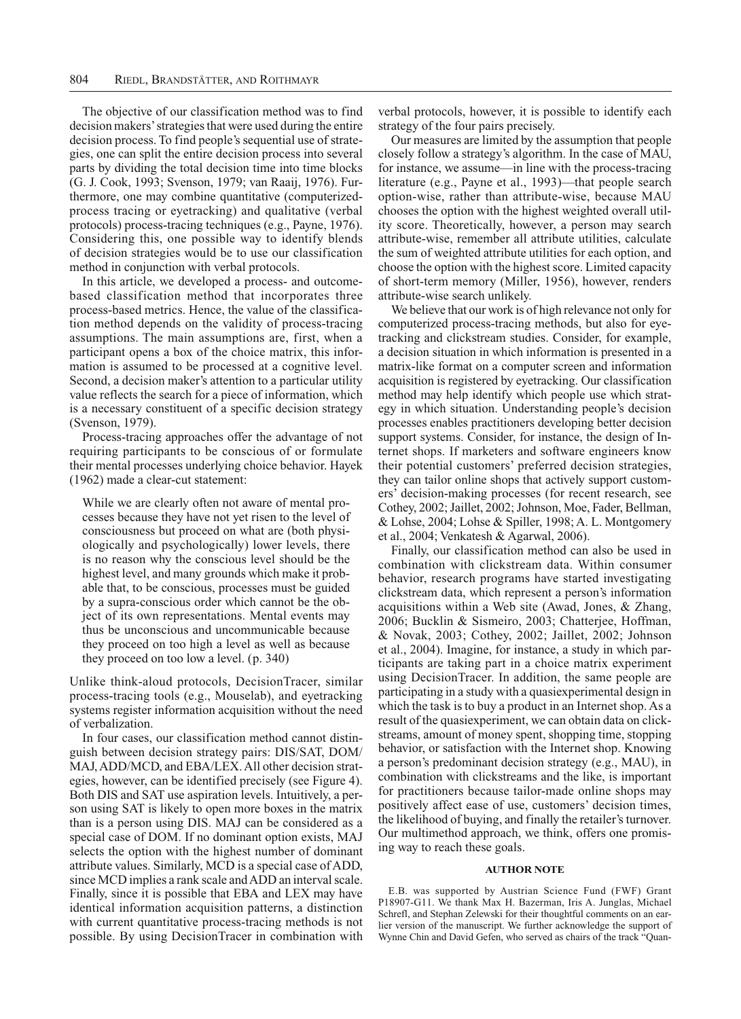The objective of our classification method was to find decision makers' strategies that were used during the entire decision process. To find people's sequential use of strategies, one can split the entire decision process into several parts by dividing the total decision time into time blocks (G. J. Cook, 1993; Svenson, 1979; van Raaij, 1976). Furthermore, one may combine quantitative (computerizedprocess tracing or eyetracking) and qualitative (verbal protocols) process-tracing techniques (e.g., Payne, 1976). Considering this, one possible way to identify blends of decision strategies would be to use our classification method in conjunction with verbal protocols.

In this article, we developed a process- and outcomebased classification method that incorporates three process- based metrics. Hence, the value of the classification method depends on the validity of process-tracing assumptions. The main assumptions are, first, when a participant opens a box of the choice matrix, this information is assumed to be processed at a cognitive level. Second, a decision maker's attention to a particular utility value reflects the search for a piece of information, which is a necessary constituent of a specific decision strategy (Svenson, 1979).

Process-tracing approaches offer the advantage of not requiring participants to be conscious of or formulate their mental processes underlying choice behavior. Hayek (1962) made a clear-cut statement:

While we are clearly often not aware of mental processes because they have not yet risen to the level of consciousness but proceed on what are (both physiologically and psychologically) lower levels, there is no reason why the conscious level should be the highest level, and many grounds which make it probable that, to be conscious, processes must be guided by a supra-conscious order which cannot be the object of its own representations. Mental events may thus be unconscious and uncommunicable because they proceed on too high a level as well as because they proceed on too low a level. (p. 340)

Unlike think-aloud protocols, DecisionTracer, similar process-tracing tools (e.g., Mouselab), and eyetracking systems register information acquisition without the need of verbalization.

In four cases, our classification method cannot distinguish between decision strategy pairs: DIS/SAT, DOM/ MAJ, ADD/MCD, and EBA/LEX. All other decision strategies, however, can be identified precisely (see Figure 4). Both DIS and SAT use aspiration levels. Intuitively, a person using SAT is likely to open more boxes in the matrix than is a person using DIS. MAJ can be considered as a special case of DOM. If no dominant option exists, MAJ selects the option with the highest number of dominant attribute values. Similarly, MCD is a special case of ADD, since MCD implies a rank scale and ADD an interval scale. Finally, since it is possible that EBA and LEX may have identical information acquisition patterns, a distinction with current quantitative process-tracing methods is not possible. By using DecisionTracer in combination with

verbal protocols, however, it is possible to identify each strategy of the four pairs precisely.

Our measures are limited by the assumption that people closely follow a strategy's algorithm. In the case of MAU, for instance, we assume—in line with the process-tracing literature (e.g., Payne et al., 1993)—that people search option-wise, rather than attribute-wise, because MAU chooses the option with the highest weighted overall utility score. Theoretically, however, a person may search attribute-wise, remember all attribute utilities, calculate the sum of weighted attribute utilities for each option, and choose the option with the highest score. Limited capacity of short-term memory (Miller, 1956), however, renders attribute-wise search unlikely.

We believe that our work is of high relevance not only for computerized process-tracing methods, but also for eyetracking and clickstream studies. Consider, for example, a decision situation in which information is presented in a matrix-like format on a computer screen and information acquisition is registered by eyetracking. Our classification method may help identify which people use which strategy in which situation. Understanding people's decision processes enables practitioners developing better decision support systems. Consider, for instance, the design of Internet shops. If marketers and software engineers know their potential customers' preferred decision strategies, they can tailor online shops that actively support customers' decision-making processes (for recent research, see Cothey, 2002; Jaillet, 2002; Johnson, Moe, Fader, Bellman, & Lohse, 2004; Lohse & Spiller, 1998; A. L. Montgomery et al., 2004; Venkatesh & Agarwal, 2006).

Finally, our classification method can also be used in combination with clickstream data. Within consumer behavior, research programs have started investigating clickstream data, which represent a person's information acquisitions within a Web site (Awad, Jones, & Zhang, 2006; Bucklin & Sismeiro, 2003; Chatterjee, Hoffman, & Novak, 2003; Cothey, 2002; Jaillet, 2002; Johnson et al., 2004). Imagine, for instance, a study in which participants are taking part in a choice matrix experiment using Decision Tracer. In addition, the same people are participating in a study with a quasiexperimental design in which the task is to buy a product in an Internet shop. As a result of the quasiexperiment, we can obtain data on clickstreams, amount of money spent, shopping time, stopping behavior, or satisfaction with the Internet shop. Knowing a person's predominant decision strategy (e.g., MAU), in combination with clickstreams and the like, is important for practitioners because tailor-made online shops may positively affect ease of use, customers' decision times, the likelihood of buying, and finally the retailer's turnover. Our multimethod approach, we think, offers one promising way to reach these goals.

#### **AUTHOR NOTE**

E.B. was supported by Austrian Science Fund (FWF) Grant P18907-G11. We thank Max H. Bazerman, Iris A. Junglas, Michael Schrefl, and Stephan Zelewski for their thoughtful comments on an earlier version of the manuscript. We further acknowledge the support of Wynne Chin and David Gefen, who served as chairs of the track "Quan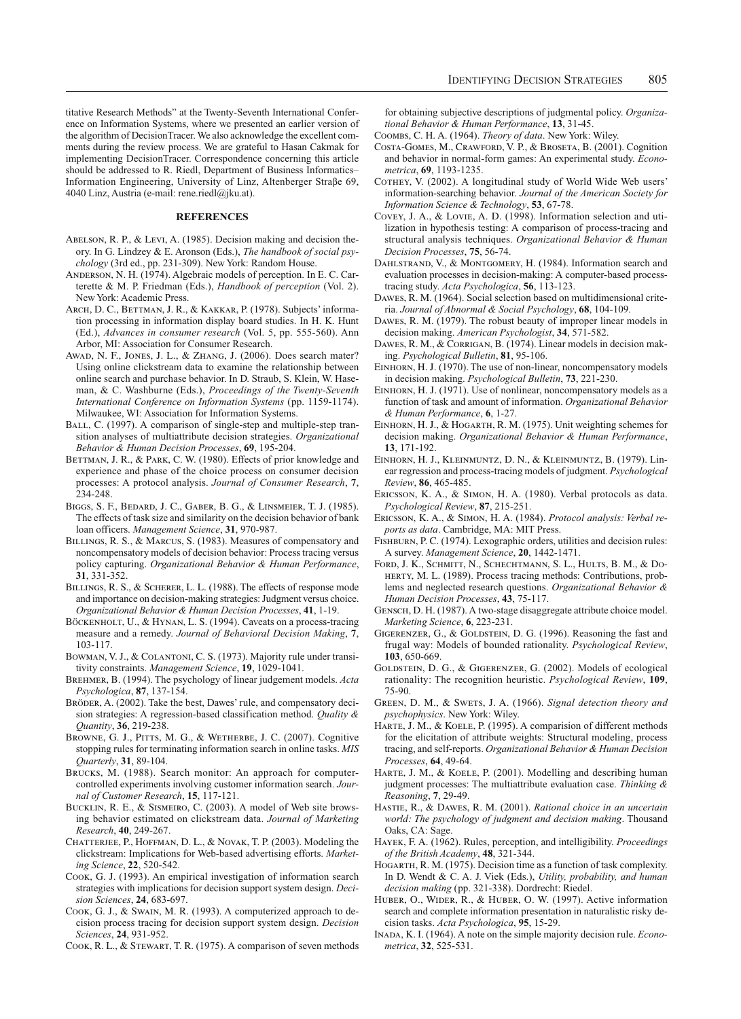titative Research Methods" at the Twenty-Seventh International Conference on Information Systems, where we presented an earlier version of the algorithm of DecisionTracer. We also acknowledge the excellent comments during the review process. We are grateful to Hasan Cakmak for implementing DecisionTracer. Correspondence concerning this article should be addressed to R. Riedl, Department of Business Informatics– Information Engineering, University of Linz, Altenberger Straße 69, 4040 Linz, Austria (e-mail: rene.riedl@jku.at).

#### **REFERENCES**

- ABELSON, R. P., & LEVI, A. (1985). Decision making and decision theory. In G. Lindzey & E. Aronson (Eds.), *The handbook of social psychology* (3rd ed., pp. 231-309). New York: Random House.
- Anderson, N. H. (1974). Algebraic models of perception. In E. C. Carterette & M. P. Friedman (Eds.), *Handbook of perception* (Vol. 2). New York: Academic Press.
- ARCH, D. C., BETTMAN, J. R., & KAKKAR, P. (1978). Subjects' information processing in information display board studies. In H. K. Hunt (Ed.), *Advances in consumer research* (Vol. 5, pp. 555-560). Ann Arbor, MI: Association for Consumer Research.
- Awad, N. F., Jones, J. L., & Zhang, J. (2006). Does search mater? Using online clickstream data to examine the relationship between online search and purchase behavior. In D. Straub, S. Klein, W. Haseman, & C. Washburne (Eds.), *Proceedings of the Twenty-Seventh International Conference on Information Systems* (pp. 1159-1174). Milwaukee, WI: Association for Information Systems.
- BALL, C. (1997). A comparison of single-step and multiple-step transition analyses of multiattribute decision strategies. *Organizational Behavior & Human Decision Processes*, **69**, 195-204.
- BETTMAN, J. R., & PARK, C. W. (1980). Effects of prior knowledge and experience and phase of the choice process on consumer decision processes: A protocol analysis. *Journal of Consumer Research*, **7**, 234-248.
- Biggs, S. F., Bedard, J. C., Gaber, B. G., & Linsmeier, T. J. (1985). The effects of task size and similarity on the decision behavior of bank loan officers. *Management Science*, **31**, 970-987.
- BILLINGS, R. S., & MARCUS, S. (1983). Measures of compensatory and noncompensatory models of decision behavior: Process tracing versus policy capturing. *Organizational Behavior & Human Performance*, **31**, 331-352.
- BILLINGS, R. S., & SCHERER, L. L. (1988). The effects of response mode and importance on decision-making strategies: Judgment versus choice. *Organizational Behavior & Human Decision Processes*, **41**, 1-19.
- BÖCKENHOLT, U., & HYNAN, L. S. (1994). Caveats on a process-tracing measure and a remedy. *Journal of Behavioral Decision Making*, **7**, 103-117.
- BOWMAN, V. J., & COLANTONI, C. S. (1973). Majority rule under transitivity constraints. *Management Science*, **19**, 1029-1041.
- Brehmer, B. (1994). The psychology of linear judgement models. *Acta Psychologica*, **87**, 137-154.
- BRÖDER, A. (2002). Take the best, Dawes' rule, and compensatory decision strategies: A regression-based classification method. *Quality & Quantity*, **36**, 219-238.
- BROWNE, G. J., PITTS, M. G., & WETHERBE, J. C. (2007). Cognitive stopping rules for terminating information search in online tasks. *MIS Quarterly*, **31**, 89-104.
- Brucks, M. (1988). Search monitor: An approach for computer controlled experiments involving customer information search. *Journal of Customer Research*, **15**, 117-121.
- BUCKLIN, R. E., & SISMEIRO, C. (2003). A model of Web site browsing behavior estimated on clickstream data. *Journal of Marketing Research*, **40**, 249-267.
- CHATTERJEE, P., HOFFMAN, D. L., & NOVAK, T. P. (2003). Modeling the clickstream: Implications for Web-based advertising efforts. *Marketing Science*, **22**, 520-542.
- Cook, G. J. (1993). An empirical investigation of information search strategies with implications for decision support system design. *Decision Sciences*, **24**, 683-697.
- Cook, G. J., & Swain, M. R. (1993). A computerized approach to decision process tracing for decision support system design. *Decision Sciences*, **24**, 931-952.
- Cook, R. L., & Stewart, T. R. (1975). A comparison of seven methods

for obtaining subjective descriptions of judgmental policy. *Organizational Behavior & Human Performance*, **13**, 31-45.

- Coombs, C. H. A. (1964). *Theory of data*. New York: Wiley.
- Costa-Gomes, M., Crawford, V. P., & Broseta, B. (2001). Cognition and behavior in normal-form games: An experimental study. *Econometrica*, **69**, 1193-1235.
- COTHEY, V. (2002). A longitudinal study of World Wide Web users' information-searching behavior. *Journal of the American Society for Information Science & Technology*, **53**, 67-78.
- Covey, J. A., & Lovie, A. D. (1998). Information selection and utilization in hypothesis testing: A comparison of process-tracing and structural analysis techniques. *Organizational Behavior & Human Decision Processes*, **75**, 56-74.
- DAHLSTRAND, V., & MONTGOMERY, H. (1984). Information search and evaluation processes in decision-making: A computer-based processtracing study. *Acta Psychologica*, **56**, 113-123.
- Dawes, R. M. (1964). Social selection based on multidimensional criteria. *Journal of Abnormal & Social Psychology*, **68**, 104-109.
- Dawes, R. M. (1979). The robust beauty of improper linear models in decision making. *American Psychologist*, **34**, 571-582.
- Dawes, R. M., & Corrigan, B. (1974). Linear models in decision making. *Psychological Bulletin*, **81**, 95-106.
- EINHORN, H. J. (1970). The use of non-linear, noncompensatory models in decision making. *Psychological Bulletin*, **73**, 221-230.
- EINHORN, H. J. (1971). Use of nonlinear, noncompensatory models as a function of task and amount of information. *Organizational Behavior & Human Performance*, **6**, 1-27.
- Einhorn, H. J., & Hogarth, R. M. (1975). Unit weighting schemes for decision making. *Organizational Behavior & Human Performance*, **13**, 171-192.
- Einhorn, H. J., Kleinmuntz, D. N., & Kleinmuntz, B. (1979). Linear regression and process-tracing models of judgment. *Psychological Review*, **86**, 465-485.
- Ericsson, K. A., & Simon, H. A. (1980). Verbal protocols as data. *Psychological Review*, **87**, 215-251.
- Ericsson, K. A., & Simon, H. A. (1984). *Protocol analysis: Verbal reports as data*. Cambridge, MA: MIT Press.
- FISHBURN, P. C. (1974). Lexographic orders, utilities and decision rules: A survey. *Management Science*, **20**, 1442-1471.
- Ford, J. K., Schmitt, N., Schechtmann, S. L., Hults, B. M., & Do-HERTY, M. L. (1989). Process tracing methods: Contributions, problems and neglected research questions. *Organizational Behavior & Human Decision Processes*, **43**, 75-117.
- Gensch, D. H. (1987). A two-stage disaggregate attribute choice model. *Marketing Science*, **6**, 223-231.
- GIGERENZER, G., & GOLDSTEIN, D. G. (1996). Reasoning the fast and frugal way: Models of bounded rationality. *Psychological Review*, **103**, 650-669.
- GOLDSTEIN, D. G., & GIGERENZER, G. (2002). Models of ecological rationality: The recognition heuristic. *Psychological Review*, **109**, 75-90.
- Green, D. M., & Swets, J. A. (1966). *Signal detection theory and psychophysics*. New York: Wiley.
- HARTE, J. M., & KOELE, P. (1995). A comparision of different methods for the elicitation of attribute weights: Structural modeling, process tracing, and self-reports. *Organizational Behavior & Human Decision Processes*, **64**, 49-64.
- HARTE, J. M., & KOELE, P. (2001). Modelling and describing human judgment processes: The multiattribute evaluation case. *Thinking & Reasoning*, **7**, 29-49.
- Hastie, R., & Dawes, R. M. (2001). *Rational choice in an uncertain world: The psychology of judgment and decision making*. Thousand Oaks, CA: Sage.
- Hayek, F. A. (1962). Rules, perception, and intelligibility. *Proceedings of the British Academy*, **48**, 321-344.
- Hogarth, R. M. (1975). Decision time as a function of task complexity. In D. Wendt & C. A. J. Viek (Eds.), *Utility, probability, and human decision making* (pp. 321-338). Dordrecht: Riedel.
- HUBER, O., WIDER, R., & HUBER, O. W. (1997). Active information search and complete information presentation in naturalistic risky decision tasks. *Acta Psychologica*, **95**, 15-29.
- Inada, K. I. (1964). A note on the simple majority decision rule. *Econometrica*, **32**, 525-531.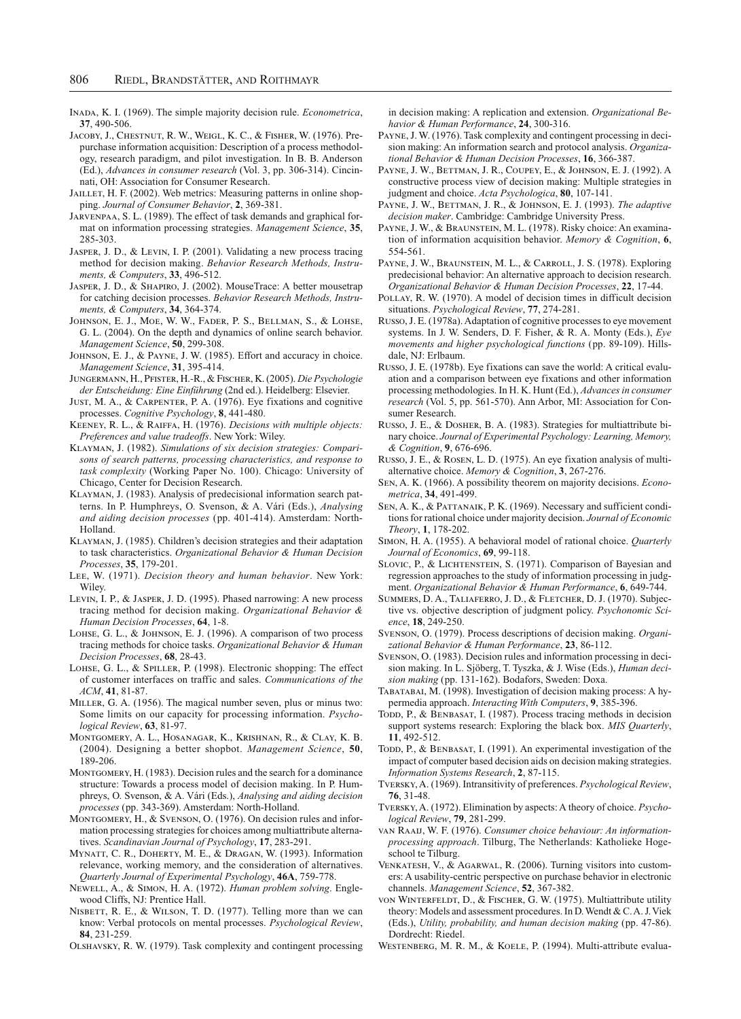- Inada, K. I. (1969). The simple majority decision rule. *Econometrica*, **37**, 490-506.
- Jacoby, J., Chestnut, R. W., Weigl, K. C., & Fisher, W. (1976). Prepurchase information acquisition: Description of a process methodology, research paradigm, and pilot investigation. In B. B. Anderson (Ed.), *Advances in consumer research* (Vol. 3, pp. 306-314). Cincinnati, OH: Association for Consumer Research.
- JAILLET, H. F. (2002). Web metrics: Measuring patterns in online shopping. *Journal of Consumer Behavior*, **2**, 369-381.
- Jarvenpaa, S. L. (1989). The effect of task demands and graphical format on information processing strategies. *Management Science*, **35**, 285-303.
- Jasper, J. D., & Levin, I. P. (2001). Validating a new process tracing method for decision making. *Behavior Research Methods, Instruments, & Computers*, **33**, 496-512.
- Jasper, J. D., & Shapiro, J. (2002). MouseTrace: A better mousetrap for catching decision processes. *Behavior Research Methods, Instruments, & Computers*, **34**, 364-374.
- Johnson, E. J., Moe, W. W., Fader, P. S., Bellman, S., & Lohse, G. L. (2004). On the depth and dynamics of online search behavior. *Management Science*, **50**, 299-308.
- Johnson, E. J., & Payne, J. W. (1985). Effort and accuracy in choice. *Management Science*, **31**, 395-414.
- Jungermann, H., Pfister, H.-R., & Fischer, K. (2005). *Die Psychologie der Entscheidung: Eine Einführung* (2nd ed.). Heidelberg: Elsevier.
- Just, M. A., & Carpenter, P. A. (1976). Eye fixations and cognitive processes. *Cognitive Psychology*, **8**, 441-480.
- Keeney, R. L., & Raiffa, H. (1976). *Decisions with multiple objects: Preferences and value tradeoffs*. New York: Wiley.
- Klayman, J. (1982). *Simulations of six decision strategies: Comparisons of search patterns, processing characteristics, and response to task complexity* (Working Paper No. 100). Chicago: University of Chicago, Center for Decision Research.
- Klayman, J. (1983). Analysis of predecisional information search patterns. In P. Humphreys, O. Svenson, & A. Vári (Eds.), *Analysing and aiding decision processes* (pp. 401-414). Amsterdam: North-Holland.
- Klayman, J. (1985). Children's decision strategies and their adaptation to task characteristics. *Organizational Behavior & Human Decision Processes*, **35**, 179-201.
- Lee, W. (1971). *Decision theory and human behavior*. New York: Wiley.
- Levin, I. P., & Jasper, J. D. (1995). Phased narrowing: A new process tracing method for decision making. *Organizational Behavior & Human Decision Processes*, **64**, 1-8.
- LOHSE, G. L., & JOHNSON, E. J. (1996). A comparison of two process tracing methods for choice tasks. *Organizational Behavior & Human Decision Processes*, **68**, 28-43.
- LOHSE, G. L., & SPILLER, P. (1998). Electronic shopping: The effect of customer interfaces on traffic and sales. *Communications of the ACM*, **41**, 81-87.
- MILLER, G. A. (1956). The magical number seven, plus or minus two: Some limits on our capacity for processing information. *Psychological Review*, **63**, 81-97.
- Montgomery, A. L., Hosanagar, K., Krishnan, R., & Clay, K. B. (2004). Designing a better shopbot. *Management Science*, **50**, 189-206.
- Montgomery, H. (1983). Decision rules and the search for a dominance structure: Towards a process model of decision making. In P. Humphreys, O. Svenson, & A. Vári (Eds.), *Analysing and aiding decision processes* (pp. 343-369). Amsterdam: North-Holland.
- Montgomery, H., & Svenson, O. (1976). On decision rules and information processing strategies for choices among multiattribute alternatives. *Scandinavian Journal of Psychology*, **17**, 283-291.
- Mynatt, C. R., Doherty, M. E., & Dragan, W. (1993). Information relevance, working memory, and the consideration of alternatives. *Quarterly Journal of Experimental Psychology*, **46A**, 759-778.
- Newell, A., & Simon, H. A. (1972). *Human problem solving*. Englewood Cliffs, NJ: Prentice Hall.
- NISBETT, R. E., & WILSON, T. D. (1977). Telling more than we can know: Verbal protocols on mental processes. *Psychological Review*, **84**, 231-259.
- Olshavsky, R. W. (1979). Task complexity and contingent processing

in decision making: A replication and extension. *Organizational Behavior & Human Performance*, **24**, 300-316.

- Payne, J. W. (1976). Task complexity and contingent processing in decision making: An information search and protocol analysis. *Organizational Behavior & Human Decision Processes*, **16**, 366-387.
- Payne, J. W., Bettman, J. R., Coupey, E., & Johnson, E. J. (1992). A constructive process view of decision making: Multiple strategies in judgment and choice. *Acta Psychologica*, **80**, 107-141.
- Payne, J. W., Bettman, J. R., & Johnson, E. J. (1993). *The adaptive decision maker*. Cambridge: Cambridge University Press.
- PAYNE, J. W., & BRAUNSTEIN, M. L. (1978). Risky choice: An examination of information acquisition behavior. *Memory & Cognition*, **6**, 554-561.
- PAYNE, J. W., BRAUNSTEIN, M. L., & CARROLL, J. S. (1978). Exploring predecisional behavior: An alternative approach to decision research. *Organizational Behavior & Human Decision Processes*, **22**, 17-44.
- Pollay, R. W. (1970). A model of decision times in difficult decision situations. *Psychological Review*, **77**, 274-281.
- Russo, J. E. (1978a). Adaptation of cognitive processes to eye movement systems. In J. W. Senders, D. F. Fisher, & R. A. Monty (Eds.), *Eye movements and higher psychological functions* (pp. 89-109). Hillsdale, NJ: Erlbaum.
- Russo, J. E. (1978b). Eye fixations can save the world: A critical evaluation and a comparison between eye fixations and other information processing methodologies. In H. K. Hunt (Ed.), *Advances in consumer research* (Vol. 5, pp. 561-570). Ann Arbor, MI: Association for Consumer Research.
- Russo, J. E., & Dosher, B. A. (1983). Strategies for multiattribute binary choice. *Journal of Experimental Psychology: Learning, Memory, & Cognition*, **9**, 676-696.
- Russo, J. E., & Rosen, L. D. (1975). An eye fixation analysis of multialternative choice. *Memory & Cognition*, **3**, 267-276.
- Sen, A. K. (1966). A possibility theorem on majority decisions. *Econometrica*, **34**, 491-499.
- SEN, A. K., & PATTANAIK, P. K. (1969). Necessary and sufficient conditions for rational choice under majority decision. *Journal of Economic Theory*, **1**, 178-202.
- Simon, H. A. (1955). A behavioral model of rational choice. *Quarterly Journal of Economics*, **69**, 99-118.
- SLOVIC, P., & LICHTENSTEIN, S. (1971). Comparison of Bayesian and regression approaches to the study of information processing in judgment. *Organizational Behavior & Human Performance*, **6**, 649-744.
- Summers, D. A., Taliaferro, J. D., & Fletcher, D. J. (1970). Subjective vs. objective description of judgment policy. *Psychonomic Science*, **18**, 249-250.
- Svenson, O. (1979). Process descriptions of decision making. *Organizational Behavior & Human Performance*, **23**, 86-112.
- Svenson, O. (1983). Decision rules and information processing in decision making. In L. Sjöberg, T. Tyszka, & J. Wise (Eds.), *Human decision making* (pp. 131-162). Bodafors, Sweden: Doxa.
- TABATABAI, M. (1998). Investigation of decision making process: A hypermedia approach. *Interacting With Computers*, **9**, 385-396.
- Todd, P., & BENBASAT, I. (1987). Process tracing methods in decision support systems research: Exploring the black box. *MIS Quarterly*, **11**, 492-512.
- Topp, P., & BENBASAT, I. (1991). An experimental investigation of the impact of computer based decision aids on decision making strategies. *Information Systems Research*, **2**, 87-115.
- Tversky, A. (1969). Intransitivity of preferences. *Psychological Review*, **76**, 31-48.
- Tversky, A. (1972). Elimination by aspects: A theory of choice. *Psychological Review*, **79**, 281-299.
- van Raaij, W. F. (1976). *Consumer choice behaviour: An informationprocessing approach*. Tilburg, The Netherlands: Katholieke Hogeschool te Tilburg.
- Venkatesh, V., & Agarwal, R. (2006). Turning visitors into customers: A usability-centric perspective on purchase behavior in electronic channels. *Management Science*, **52**, 367-382.
- von WINTERFELDT, D., & FISCHER, G. W. (1975). Multiattribute utility theory: Models and assessment procedures. In D. Wendt & C. A. J. Viek (Eds.), *Utility, probability, and human decision making* (pp. 47-86). Dordrecht: Riedel.
- Westenberg, M. R. M., & Koele, P. (1994). Multi-attribute evalua-